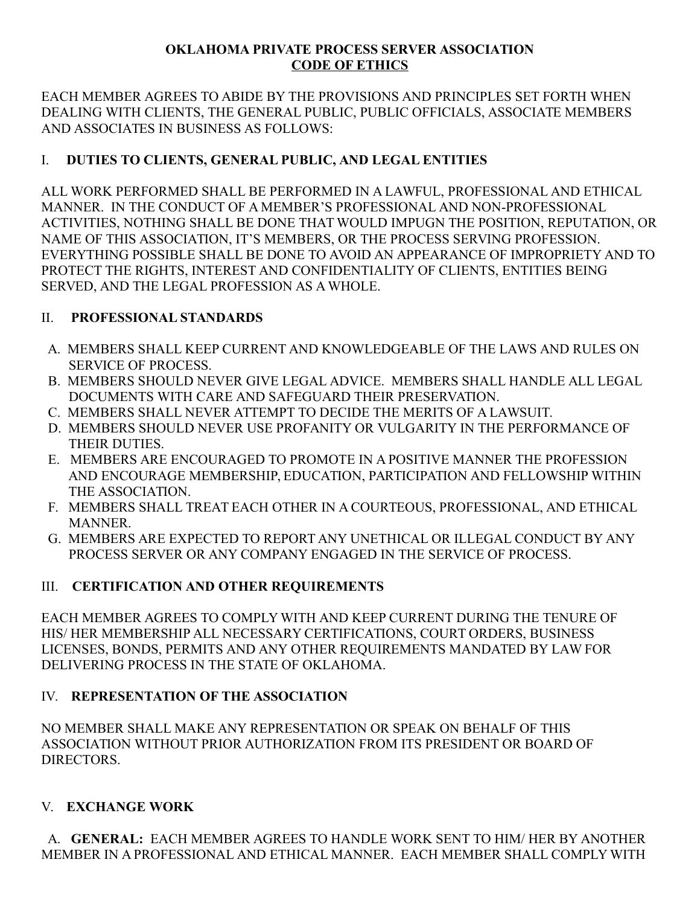#### **OKLAHOMA PRIVATE PROCESS SERVER ASSOCIATION CODE OF ETHICS**

EACH MEMBER AGREES TO ABIDE BY THE PROVISIONS AND PRINCIPLES SET FORTH WHEN DEALING WITH CLIENTS, THE GENERAL PUBLIC, PUBLIC OFFICIALS, ASSOCIATE MEMBERS AND ASSOCIATES IN BUSINESS AS FOLLOWS:

## I. **DUTIES TO CLIENTS, GENERAL PUBLIC, AND LEGAL ENTITIES**

ALL WORK PERFORMED SHALL BE PERFORMED IN A LAWFUL, PROFESSIONAL AND ETHICAL MANNER. IN THE CONDUCT OF A MEMBER'S PROFESSIONAL AND NON-PROFESSIONAL ACTIVITIES, NOTHING SHALL BE DONE THAT WOULD IMPUGN THE POSITION, REPUTATION, OR NAME OF THIS ASSOCIATION, IT'S MEMBERS, OR THE PROCESS SERVING PROFESSION. EVERYTHING POSSIBLE SHALL BE DONE TO AVOID AN APPEARANCE OF IMPROPRIETY AND TO PROTECT THE RIGHTS, INTEREST AND CONFIDENTIALITY OF CLIENTS, ENTITIES BEING SERVED, AND THE LEGAL PROFESSION AS A WHOLE.

## II. **PROFESSIONAL STANDARDS**

- A. MEMBERS SHALL KEEP CURRENT AND KNOWLEDGEABLE OF THE LAWS AND RULES ON SERVICE OF PROCESS.
- B. MEMBERS SHOULD NEVER GIVE LEGAL ADVICE. MEMBERS SHALL HANDLE ALL LEGAL DOCUMENTS WITH CARE AND SAFEGUARD THEIR PRESERVATION.
- C. MEMBERS SHALL NEVER ATTEMPT TO DECIDE THE MERITS OF A LAWSUIT.
- D. MEMBERS SHOULD NEVER USE PROFANITY OR VULGARITY IN THE PERFORMANCE OF THEIR DUTIES.
- E. MEMBERS ARE ENCOURAGED TO PROMOTE IN A POSITIVE MANNER THE PROFESSION AND ENCOURAGE MEMBERSHIP, EDUCATION, PARTICIPATION AND FELLOWSHIP WITHIN THE ASSOCIATION.
- F. MEMBERS SHALL TREAT EACH OTHER IN A COURTEOUS, PROFESSIONAL, AND ETHICAL **MANNER**
- G. MEMBERS ARE EXPECTED TO REPORT ANY UNETHICAL OR ILLEGAL CONDUCT BY ANY PROCESS SERVER OR ANY COMPANY ENGAGED IN THE SERVICE OF PROCESS.

## III. **CERTIFICATION AND OTHER REQUIREMENTS**

EACH MEMBER AGREES TO COMPLY WITH AND KEEP CURRENT DURING THE TENURE OF HIS/ HER MEMBERSHIP ALL NECESSARY CERTIFICATIONS, COURT ORDERS, BUSINESS LICENSES, BONDS, PERMITS AND ANY OTHER REQUIREMENTS MANDATED BY LAW FOR DELIVERING PROCESS IN THE STATE OF OKLAHOMA.

## IV. **REPRESENTATION OF THE ASSOCIATION**

NO MEMBER SHALL MAKE ANY REPRESENTATION OR SPEAK ON BEHALF OF THIS ASSOCIATION WITHOUT PRIOR AUTHORIZATION FROM ITS PRESIDENT OR BOARD OF DIRECTORS.

# V. **EXCHANGE WORK**

 A. **GENERAL:** EACH MEMBER AGREES TO HANDLE WORK SENT TO HIM/ HER BY ANOTHER MEMBER IN A PROFESSIONAL AND ETHICAL MANNER. EACH MEMBER SHALL COMPLY WITH